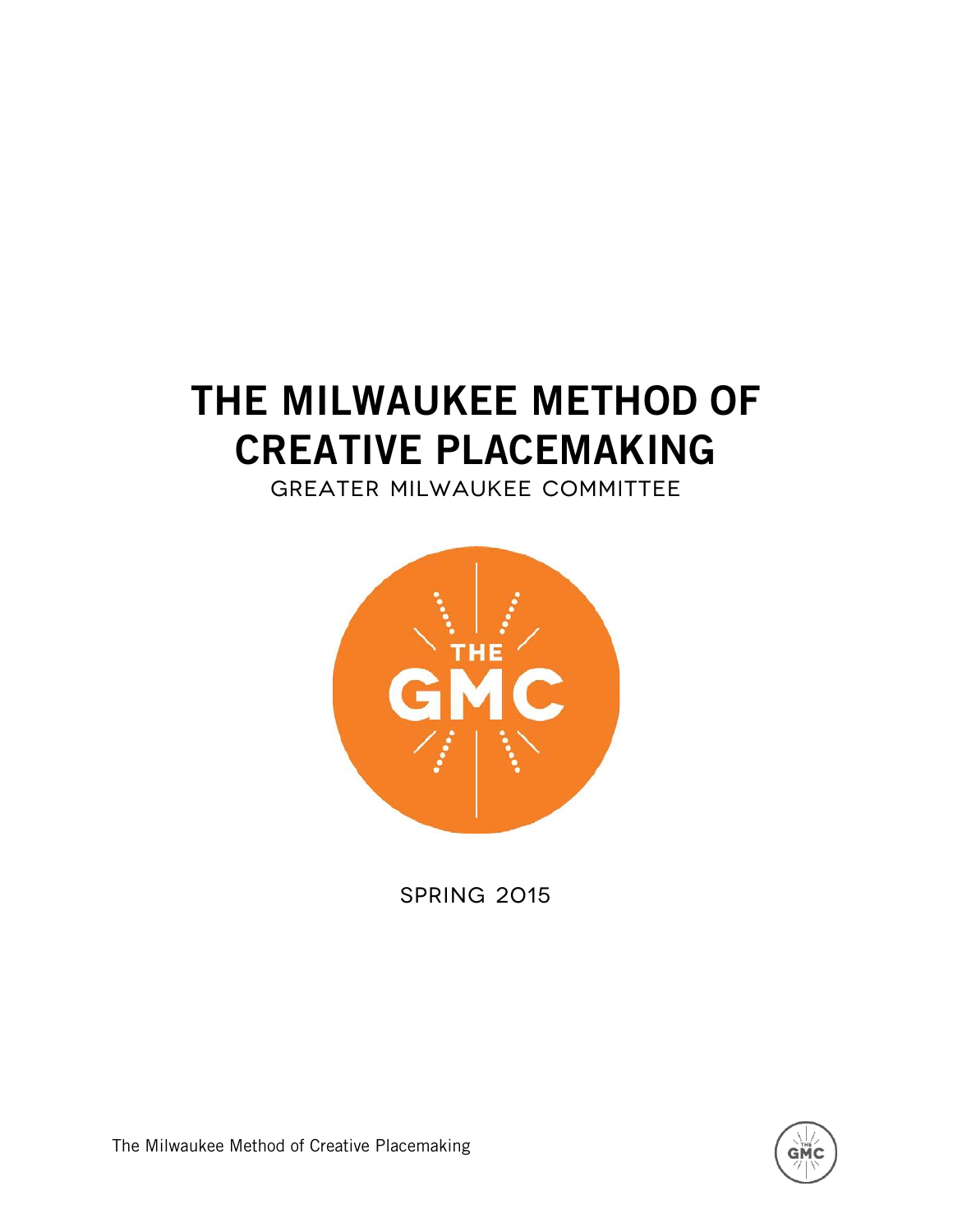# THE MILWAUKEE METHOD OF CREATIVE PLACEMAKING

Greater Milwaukee Committee



**SPRING 2015** 



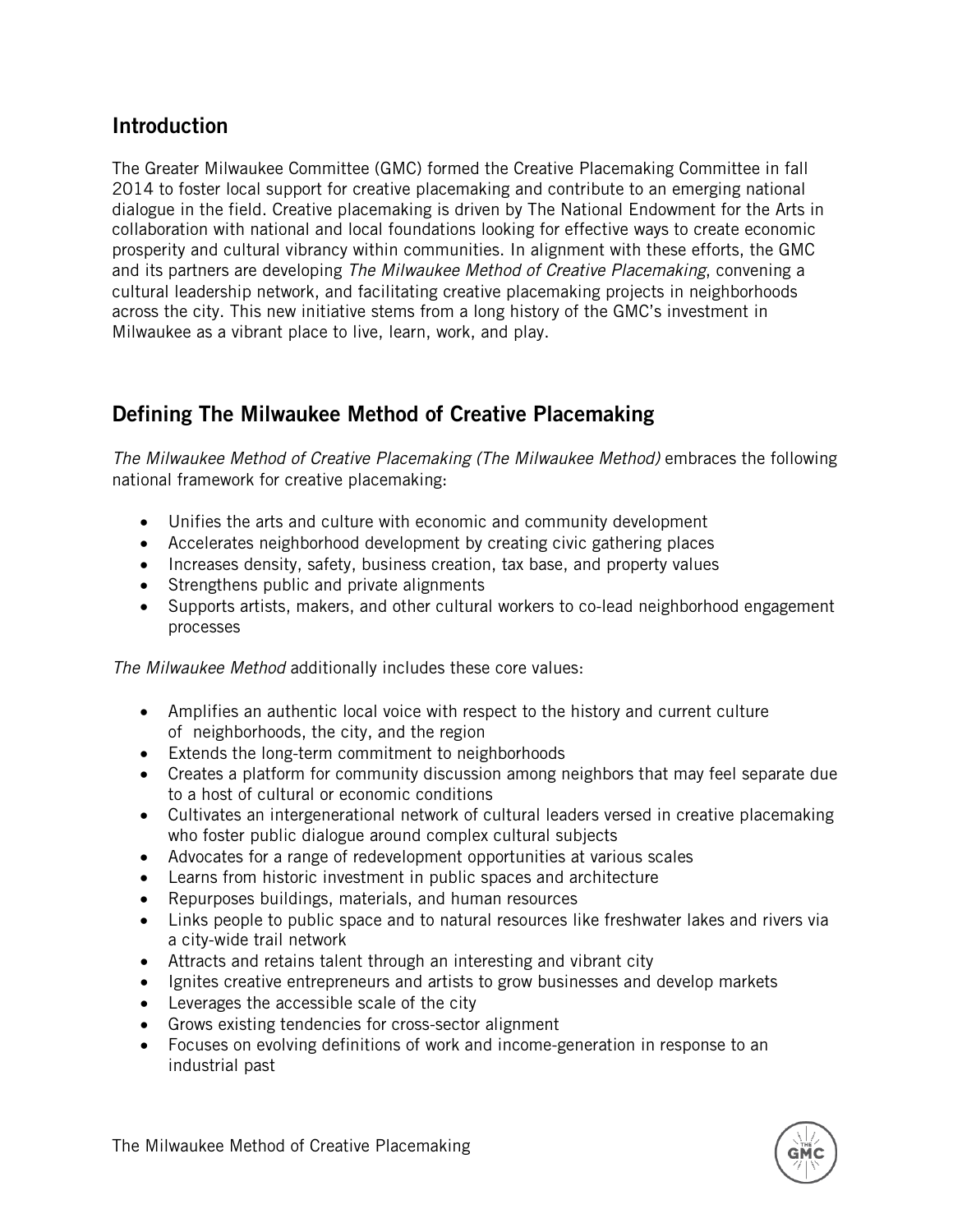#### **Introduction**

The Greater Milwaukee Committee (GMC) formed the Creative Placemaking Committee in fall 2014 to foster local support for creative placemaking and contribute to an emerging national dialogue in the field. Creative placemaking is driven by The National Endowment for the Arts in collaboration with national and local foundations looking for effective ways to create economic prosperity and cultural vibrancy within communities. In alignment with these efforts, the GMC and its partners are developing *The Milwaukee Method of Creative Placemaking*, convening a cultural leadership network, and facilitating creative placemaking projects in neighborhoods across the city. This new initiative stems from a long history of the GMC's investment in Milwaukee as a vibrant place to live, learn, work, and play.

## Defining The Milwaukee Method of Creative Placemaking

*The Milwaukee Method of Creative Placemaking (The Milwaukee Method)* embraces the following national framework for creative placemaking:

- Unifies the arts and culture with economic and community development
- Accelerates neighborhood development by creating civic gathering places
- Increases density, safety, business creation, tax base, and property values
- Strengthens public and private alignments
- Supports artists, makers, and other cultural workers to co-lead neighborhood engagement processes

*The Milwaukee Method* additionally includes these core values:

- Amplifies an authentic local voice with respect to the history and current culture of neighborhoods, the city, and the region
- Extends the long-term commitment to neighborhoods
- Creates a platform for community discussion among neighbors that may feel separate due to a host of cultural or economic conditions
- Cultivates an intergenerational network of cultural leaders versed in creative placemaking who foster public dialogue around complex cultural subjects
- Advocates for a range of redevelopment opportunities at various scales
- Learns from historic investment in public spaces and architecture
- Repurposes buildings, materials, and human resources
- Links people to public space and to natural resources like freshwater lakes and rivers via a city-wide trail network
- Attracts and retains talent through an interesting and vibrant city
- Ignites creative entrepreneurs and artists to grow businesses and develop markets
- Leverages the accessible scale of the city
- Grows existing tendencies for cross-sector alignment
- Focuses on evolving definitions of work and income-generation in response to an industrial past

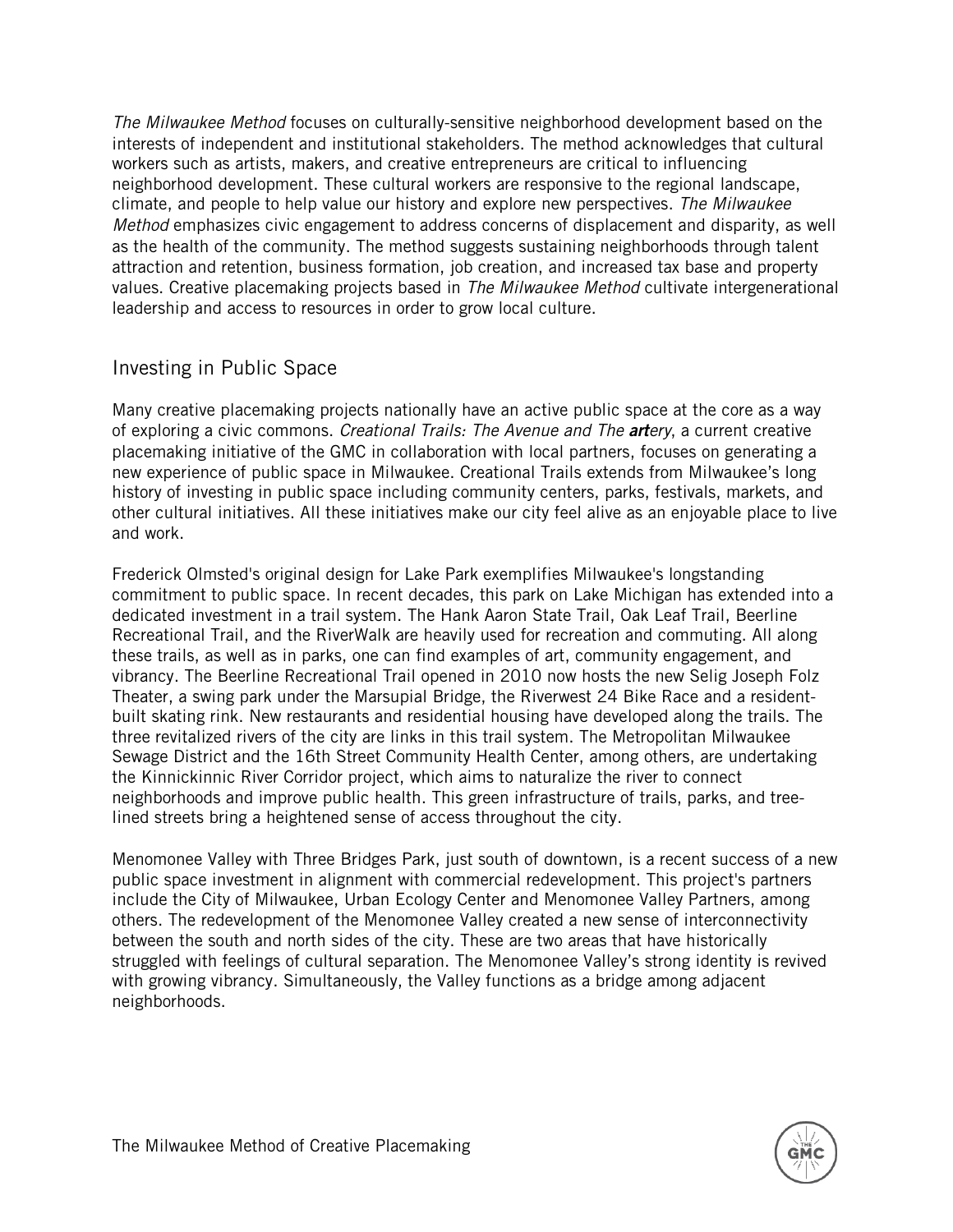*The Milwaukee Method* focuses on culturally-sensitive neighborhood development based on the interests of independent and institutional stakeholders. The method acknowledges that cultural workers such as artists, makers, and creative entrepreneurs are critical to influencing neighborhood development. These cultural workers are responsive to the regional landscape, climate, and people to help value our history and explore new perspectives. *The Milwaukee Method* emphasizes civic engagement to address concerns of displacement and disparity, as well as the health of the community. The method suggests sustaining neighborhoods through talent attraction and retention, business formation, job creation, and increased tax base and property values. Creative placemaking projects based in *The Milwaukee Method* cultivate intergenerational leadership and access to resources in order to grow local culture.

#### Investing in Public Space

Many creative placemaking projects nationally have an active public space at the core as a way of exploring a civic commons. *Creational Trails: The Avenue and The artery*, a current creative placemaking initiative of the GMC in collaboration with local partners, focuses on generating a new experience of public space in Milwaukee. Creational Trails extends from Milwaukee's long history of investing in public space including community centers, parks, festivals, markets, and other cultural initiatives. All these initiatives make our city feel alive as an enjoyable place to live and work.

Frederick Olmsted's original design for Lake Park exemplifies Milwaukee's longstanding commitment to public space. In recent decades, this park on Lake Michigan has extended into a dedicated investment in a trail system. The Hank Aaron State Trail, Oak Leaf Trail, Beerline Recreational Trail, and the RiverWalk are heavily used for recreation and commuting. All along these trails, as well as in parks, one can find examples of art, community engagement, and vibrancy. The Beerline Recreational Trail opened in 2010 now hosts the new Selig Joseph Folz Theater, a swing park under the Marsupial Bridge, the Riverwest 24 Bike Race and a residentbuilt skating rink. New restaurants and residential housing have developed along the trails. The three revitalized rivers of the city are links in this trail system. The Metropolitan Milwaukee Sewage District and the 16th Street Community Health Center, among others, are undertaking the Kinnickinnic River Corridor project, which aims to naturalize the river to connect neighborhoods and improve public health. This green infrastructure of trails, parks, and treelined streets bring a heightened sense of access throughout the city.

Menomonee Valley with Three Bridges Park, just south of downtown, is a recent success of a new public space investment in alignment with commercial redevelopment. This project's partners include the City of Milwaukee, Urban Ecology Center and Menomonee Valley Partners, among others. The redevelopment of the Menomonee Valley created a new sense of interconnectivity between the south and north sides of the city. These are two areas that have historically struggled with feelings of cultural separation. The Menomonee Valley's strong identity is revived with growing vibrancy. Simultaneously, the Valley functions as a bridge among adjacent neighborhoods.

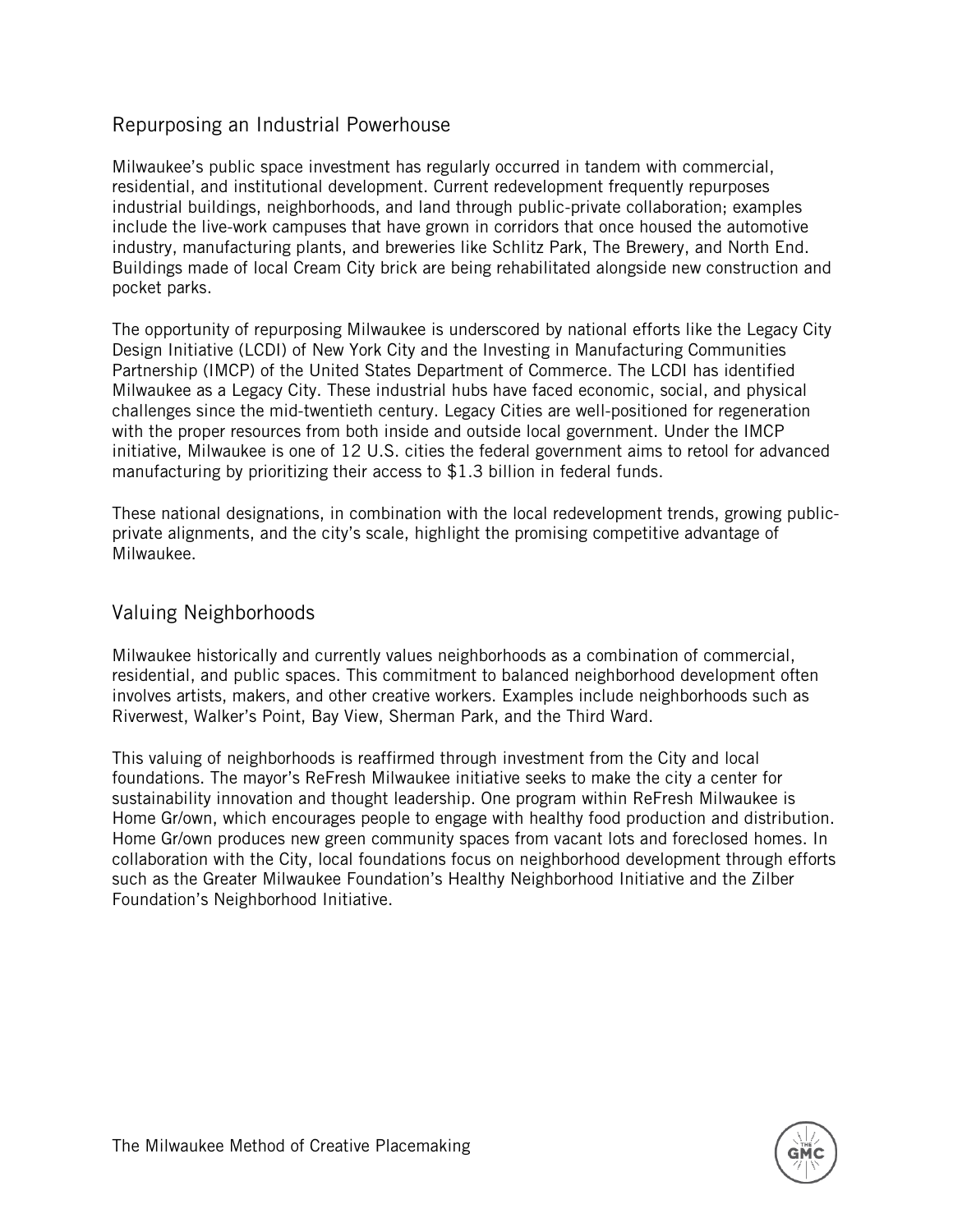#### Repurposing an Industrial Powerhouse

Milwaukee's public space investment has regularly occurred in tandem with commercial, residential, and institutional development. Current redevelopment frequently repurposes industrial buildings, neighborhoods, and land through public-private collaboration; examples include the live-work campuses that have grown in corridors that once housed the automotive industry, manufacturing plants, and breweries like Schlitz Park, The Brewery, and North End. Buildings made of local Cream City brick are being rehabilitated alongside new construction and pocket parks.

The opportunity of repurposing Milwaukee is underscored by national efforts like the Legacy City Design Initiative (LCDI) of New York City and the Investing in Manufacturing Communities Partnership (IMCP) of the United States Department of Commerce. The LCDI has identified Milwaukee as a Legacy City. These industrial hubs have faced economic, social, and physical challenges since the mid-twentieth century. Legacy Cities are well-positioned for regeneration with the proper resources from both inside and outside local government. Under the IMCP initiative, Milwaukee is one of 12 U.S. cities the federal government aims to retool for advanced manufacturing by prioritizing their access to \$1.3 billion in federal funds.

These national designations, in combination with the local redevelopment trends, growing publicprivate alignments, and the city's scale, highlight the promising competitive advantage of Milwaukee.

#### Valuing Neighborhoods

Milwaukee historically and currently values neighborhoods as a combination of commercial, residential, and public spaces. This commitment to balanced neighborhood development often involves artists, makers, and other creative workers. Examples include neighborhoods such as Riverwest, Walker's Point, Bay View, Sherman Park, and the Third Ward.

This valuing of neighborhoods is reaffirmed through investment from the City and local foundations. The mayor's ReFresh Milwaukee initiative seeks to make the city a center for sustainability innovation and thought leadership. One program within ReFresh Milwaukee is Home Gr/own, which encourages people to engage with healthy food production and distribution. Home Gr/own produces new green community spaces from vacant lots and foreclosed homes. In collaboration with the City, local foundations focus on neighborhood development through efforts such as the Greater Milwaukee Foundation's Healthy Neighborhood Initiative and the Zilber Foundation's Neighborhood Initiative.

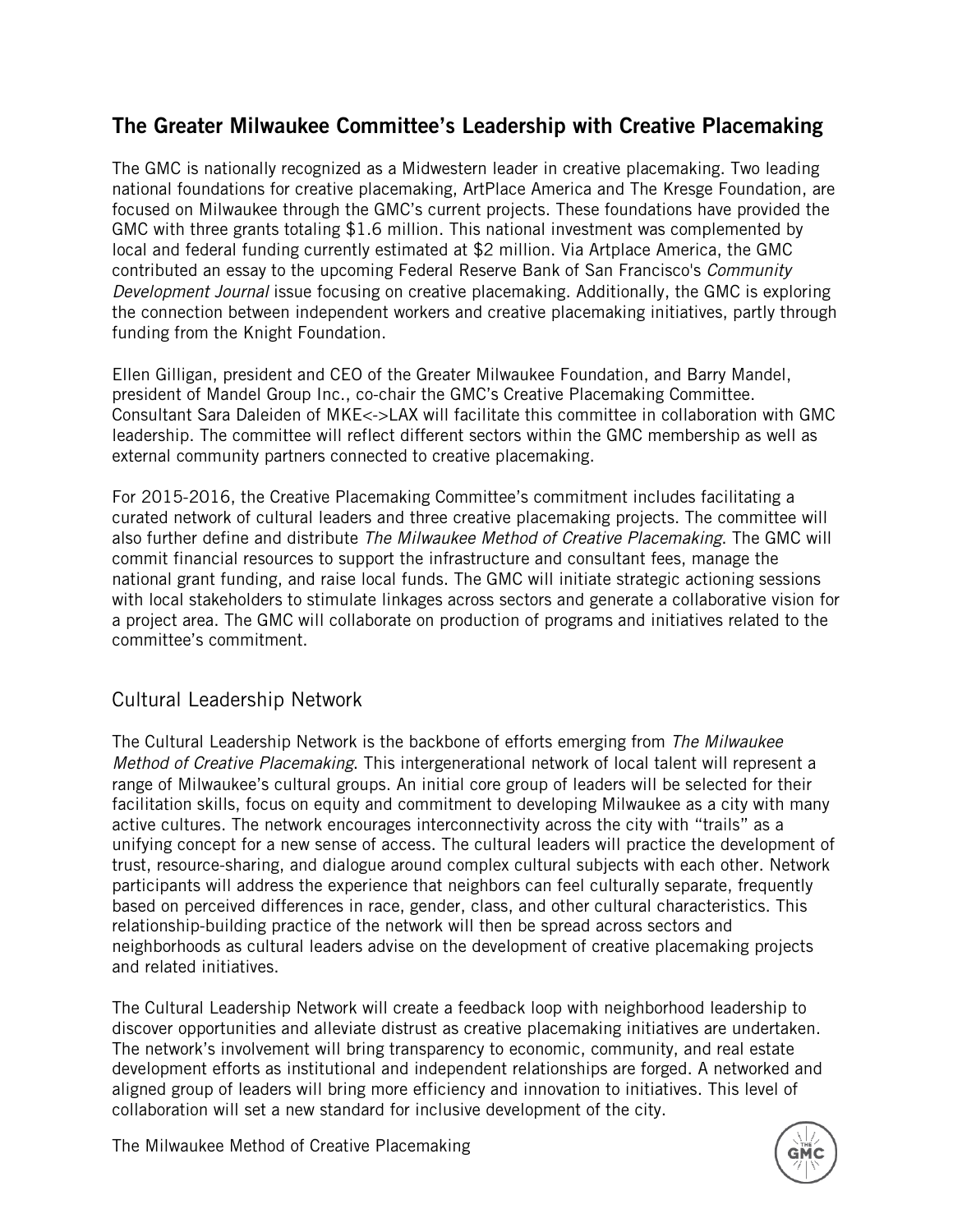# The Greater Milwaukee Committee's Leadership with Creative Placemaking

The GMC is nationally recognized as a Midwestern leader in creative placemaking. Two leading national foundations for creative placemaking, ArtPlace America and The Kresge Foundation, are focused on Milwaukee through the GMC's current projects. These foundations have provided the GMC with three grants totaling \$1.6 million. This national investment was complemented by local and federal funding currently estimated at \$2 million. Via Artplace America, the GMC contributed an essay to the upcoming Federal Reserve Bank of San Francisco's *Community Development Journal* issue focusing on creative placemaking. Additionally, the GMC is exploring the connection between independent workers and creative placemaking initiatives, partly through funding from the Knight Foundation.

Ellen Gilligan, president and CEO of the Greater Milwaukee Foundation, and Barry Mandel, president of Mandel Group Inc., co-chair the GMC's Creative Placemaking Committee. Consultant Sara Daleiden of MKE<->LAX will facilitate this committee in collaboration with GMC leadership. The committee will reflect different sectors within the GMC membership as well as external community partners connected to creative placemaking.

For 2015-2016, the Creative Placemaking Committee's commitment includes facilitating a curated network of cultural leaders and three creative placemaking projects. The committee will also further define and distribute *The Milwaukee Method of Creative Placemaking*. The GMC will commit financial resources to support the infrastructure and consultant fees, manage the national grant funding, and raise local funds. The GMC will initiate strategic actioning sessions with local stakeholders to stimulate linkages across sectors and generate a collaborative vision for a project area. The GMC will collaborate on production of programs and initiatives related to the committee's commitment.

#### Cultural Leadership Network

The Cultural Leadership Network is the backbone of efforts emerging from *The Milwaukee Method of Creative Placemaking*. This intergenerational network of local talent will represent a range of Milwaukee's cultural groups. An initial core group of leaders will be selected for their facilitation skills, focus on equity and commitment to developing Milwaukee as a city with many active cultures. The network encourages interconnectivity across the city with "trails" as a unifying concept for a new sense of access. The cultural leaders will practice the development of trust, resource-sharing, and dialogue around complex cultural subjects with each other. Network participants will address the experience that neighbors can feel culturally separate, frequently based on perceived differences in race, gender, class, and other cultural characteristics. This relationship-building practice of the network will then be spread across sectors and neighborhoods as cultural leaders advise on the development of creative placemaking projects and related initiatives.

The Cultural Leadership Network will create a feedback loop with neighborhood leadership to discover opportunities and alleviate distrust as creative placemaking initiatives are undertaken. The network's involvement will bring transparency to economic, community, and real estate development efforts as institutional and independent relationships are forged. A networked and aligned group of leaders will bring more efficiency and innovation to initiatives. This level of collaboration will set a new standard for inclusive development of the city.

The Milwaukee Method of Creative Placemaking

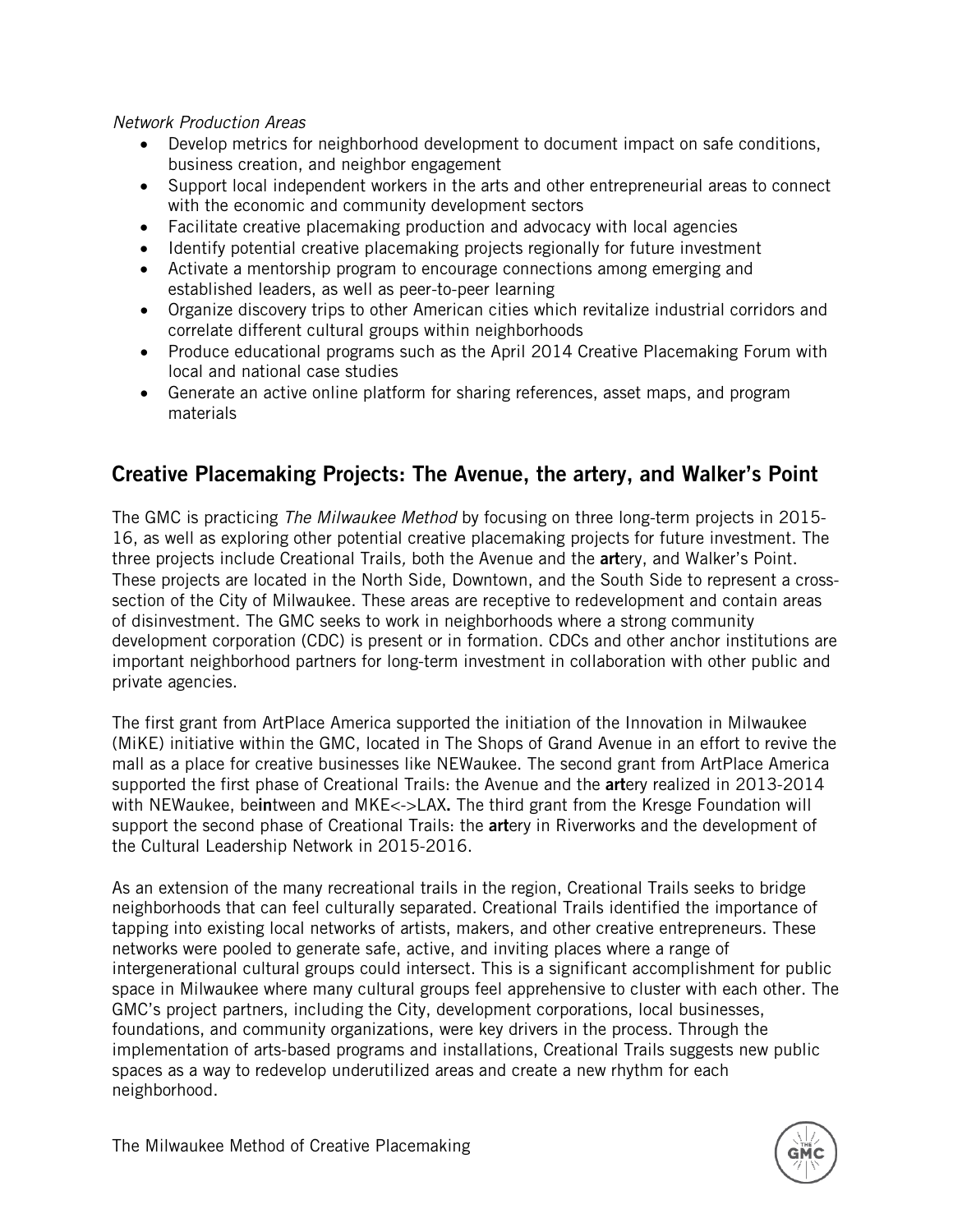#### *Network Production Areas*

- Develop metrics for neighborhood development to document impact on safe conditions, business creation, and neighbor engagement
- Support local independent workers in the arts and other entrepreneurial areas to connect with the economic and community development sectors
- Facilitate creative placemaking production and advocacy with local agencies
- Identify potential creative placemaking projects regionally for future investment
- Activate a mentorship program to encourage connections among emerging and established leaders, as well as peer-to-peer learning
- Organize discovery trips to other American cities which revitalize industrial corridors and correlate different cultural groups within neighborhoods
- Produce educational programs such as the April 2014 Creative Placemaking Forum with local and national case studies
- Generate an active online platform for sharing references, asset maps, and program materials

# Creative Placemaking Projects: The Avenue, the artery, and Walker's Point

The GMC is practicing *The Milwaukee Method* by focusing on three long-term projects in 2015- 16, as well as exploring other potential creative placemaking projects for future investment. The three projects include Creational Trails*,* both the Avenue and the artery, and Walker's Point. These projects are located in the North Side, Downtown, and the South Side to represent a crosssection of the City of Milwaukee. These areas are receptive to redevelopment and contain areas of disinvestment. The GMC seeks to work in neighborhoods where a strong community development corporation (CDC) is present or in formation. CDCs and other anchor institutions are important neighborhood partners for long-term investment in collaboration with other public and private agencies.

The first grant from ArtPlace America supported the initiation of the Innovation in Milwaukee (MiKE) initiative within the GMC, located in The Shops of Grand Avenue in an effort to revive the mall as a place for creative businesses like NEWaukee. The second grant from ArtPlace America supported the first phase of Creational Trails: the Avenue and the artery realized in 2013-2014 with NEWaukee, beintween and MKE<->LAX. The third grant from the Kresge Foundation will support the second phase of Creational Trails: the **art**ery in Riverworks and the development of the Cultural Leadership Network in 2015-2016.

As an extension of the many recreational trails in the region, Creational Trails seeks to bridge neighborhoods that can feel culturally separated. Creational Trails identified the importance of tapping into existing local networks of artists, makers, and other creative entrepreneurs. These networks were pooled to generate safe, active, and inviting places where a range of intergenerational cultural groups could intersect. This is a significant accomplishment for public space in Milwaukee where many cultural groups feel apprehensive to cluster with each other. The GMC's project partners, including the City, development corporations, local businesses, foundations, and community organizations, were key drivers in the process. Through the implementation of arts-based programs and installations, Creational Trails suggests new public spaces as a way to redevelop underutilized areas and create a new rhythm for each neighborhood.

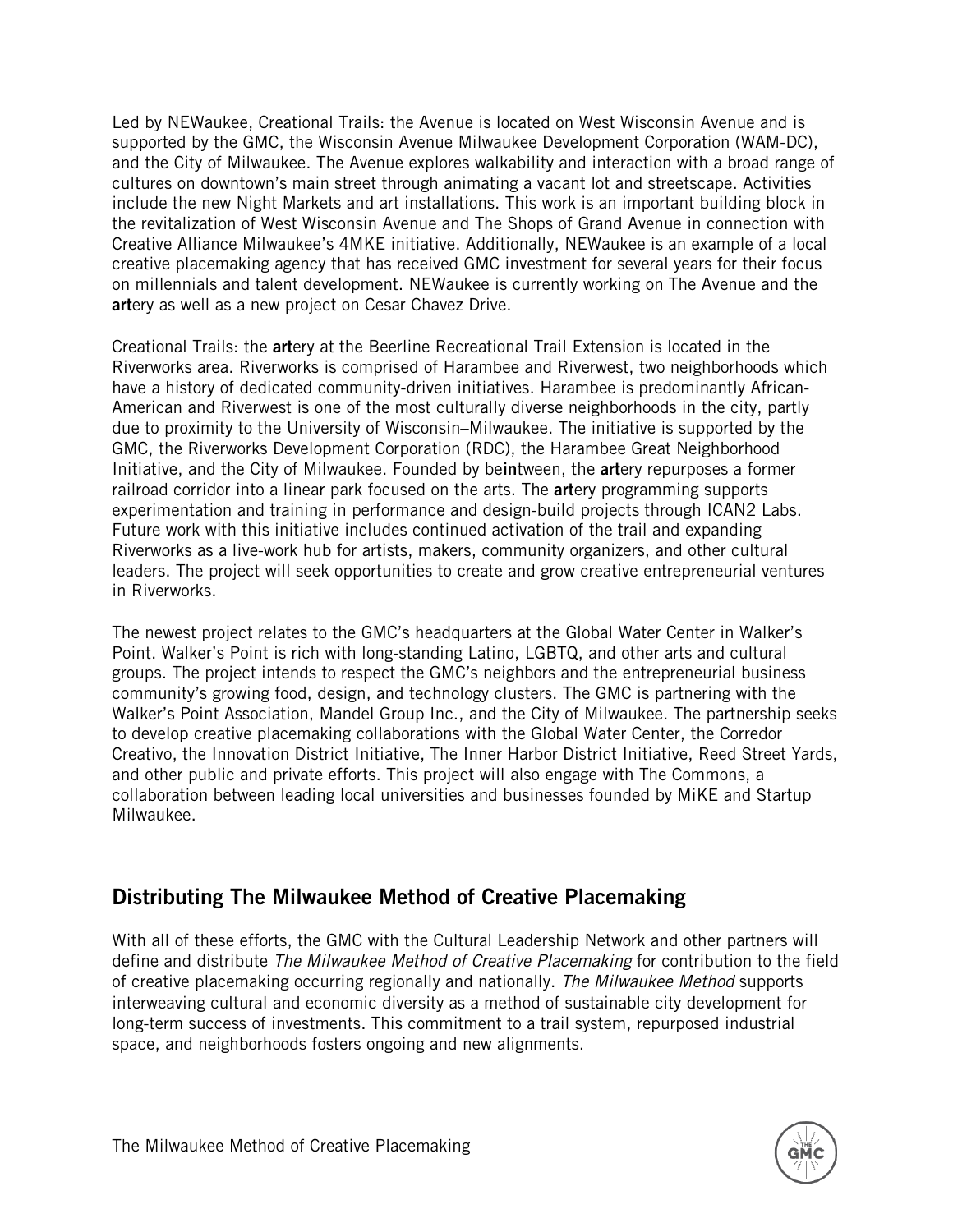Led by NEWaukee, Creational Trails: the Avenue is located on West Wisconsin Avenue and is supported by the GMC, the Wisconsin Avenue Milwaukee Development Corporation (WAM-DC), and the City of Milwaukee. The Avenue explores walkability and interaction with a broad range of cultures on downtown's main street through animating a vacant lot and streetscape. Activities include the new Night Markets and art installations. This work is an important building block in the revitalization of West Wisconsin Avenue and The Shops of Grand Avenue in connection with Creative Alliance Milwaukee's 4MKE initiative. Additionally, NEWaukee is an example of a local creative placemaking agency that has received GMC investment for several years for their focus on millennials and talent development. NEWaukee is currently working on The Avenue and the artery as well as a new project on Cesar Chavez Drive.

Creational Trails: the artery at the Beerline Recreational Trail Extension is located in the Riverworks area. Riverworks is comprised of Harambee and Riverwest, two neighborhoods which have a history of dedicated community-driven initiatives. Harambee is predominantly African-American and Riverwest is one of the most culturally diverse neighborhoods in the city, partly due to proximity to the University of Wisconsin–Milwaukee. The initiative is supported by the GMC, the Riverworks Development Corporation (RDC), the Harambee Great Neighborhood Initiative, and the City of Milwaukee. Founded by beintween, the artery repurposes a former railroad corridor into a linear park focused on the arts. The **art**ery programming supports experimentation and training in performance and design-build projects through ICAN2 Labs. Future work with this initiative includes continued activation of the trail and expanding Riverworks as a live-work hub for artists, makers, community organizers, and other cultural leaders. The project will seek opportunities to create and grow creative entrepreneurial ventures in Riverworks.

The newest project relates to the GMC's headquarters at the Global Water Center in Walker's Point. Walker's Point is rich with long-standing Latino, LGBTQ, and other arts and cultural groups. The project intends to respect the GMC's neighbors and the entrepreneurial business community's growing food, design, and technology clusters. The GMC is partnering with the Walker's Point Association, Mandel Group Inc., and the City of Milwaukee. The partnership seeks to develop creative placemaking collaborations with the Global Water Center, the Corredor Creativo, the Innovation District Initiative, The Inner Harbor District Initiative, Reed Street Yards, and other public and private efforts. This project will also engage with The Commons, a collaboration between leading local universities and businesses founded by MiKE and Startup Milwaukee.

# Distributing The Milwaukee Method of Creative Placemaking

With all of these efforts, the GMC with the Cultural Leadership Network and other partners will define and distribute *The Milwaukee Method of Creative Placemaking* for contribution to the field of creative placemaking occurring regionally and nationally. *The Milwaukee Method* supports interweaving cultural and economic diversity as a method of sustainable city development for long-term success of investments. This commitment to a trail system, repurposed industrial space, and neighborhoods fosters ongoing and new alignments.